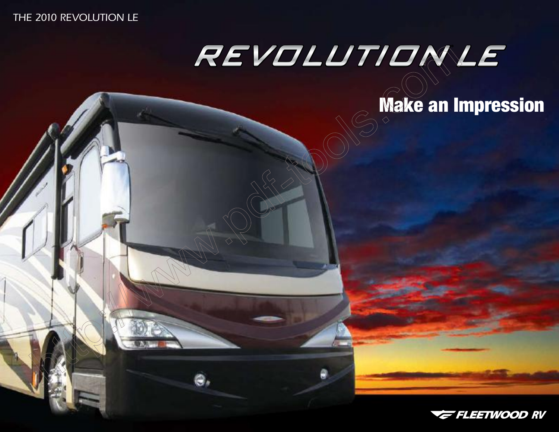# THE 2010 REVOLUTION LE

Θ,

# REVOLUTIONLE

# **Make an Impression**

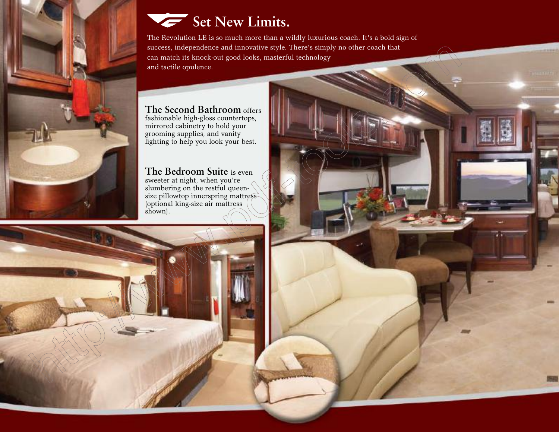

# Set New Limits.

The Revolution LE is so much more than a wildly luxurious coach. It's a bold sign of success, independence and innovative style. There's simply no other coach that can match its knock-out good looks, masterful technology and tactile opulence.

# **The Second Bathroom** offers

fashionable high-gloss countertops, mirrored cabinetry to hold your grooming supplies, and vanity lighting to help you look your best.

#### **The Bedroom Suite** is even sweeter at night, when you're slumbering on the restful queensize pillowtop innerspring mattress (optional king-size air mattress shown).

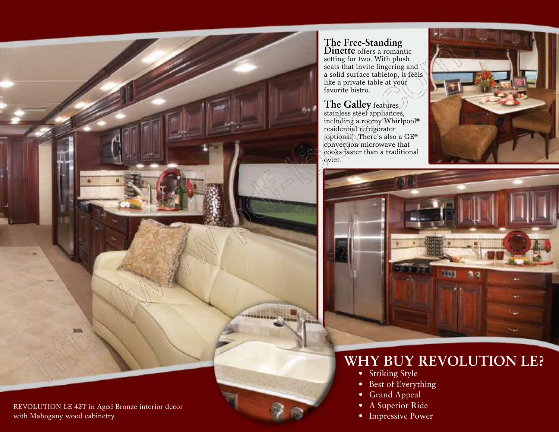

REVOLUTION LE 42T in Aged Bronze interior decor with Mahogany wood cabinetry.

# **The Free-Standing**

**Dinette** offers a romantic setting for two. With plush seats that invite lingering and a solid surface tabletop, it feels like a private table at your favorite bistro.

# **The Galley** features

stainless steel appliances, including a roomy Whirlpool® residential refrigerator (optional). There's also a GE® convection microwave that cooks faster than a traditional oven.





# **Why Buy REVOLUTION LE?**

- Striking Style
- Best of Everything
- Grand Appeal
- A Superior Ride
- Impressive Power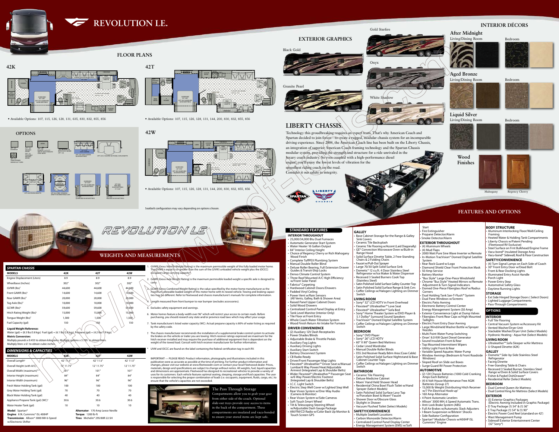

# **FLOOR PLAN**

OPT. 115 THREE BURNER RANGE & 22" OVEN

REFER OPT. 128 DOMETIC 14 CU. FT. SIDE BY SIDE STAINLESS STEEL REFER

> OPT. 832 FREE-STANDING DINETTE W/REMOVABLE LEAF

OPT. ROUND TABLE/ CHAIRS W/ REMOVABLE LEAF

DINETTE 36" X 76"

OPT. 830 FACING DINETTE

100000000000000

**RADORESEESE** 

NIGHTSTAND

NIGHTSTAND

OPT. 856 KING BED W/AIR MATTRESS 72" X 80"

OPT. 856 KING BED W/AIR MATTRESS

OPT. 107 DISHWASHER

Multiply pounds x 0.453 to obtain kilograms. Multiply gallons x 3.785 to obtain liters. Multiply liters x 61 to obtain cubic inches

OPT. 200 SOFA SLEEPER W/AIR MATTRESS 59" X 74" SOFA SLEEPER

OPT. 855

**PREASE W/AIR MATTRESS<br>
DEP PREASE PREASE AND READ PREASE CONTRIBUTION**<br> **OPT. 855**<br>
QUEEN BED W/AIR MATTRESS

NIGHTSTAND

QUEEN BED 60" X 80" OPT. 855 QUEEN BED W/AIR MATTRESS

• Available Options: 107, 115, 126, 128, 131, 635, 830, 832, 855, 856

OPT. 126 WASHER/ DRYER OPT. 131 STACKABLE WASHER/ DRYER

**OPTIONS** 

120V RESIDENTIAL REFER W/ICE MAKER OPT. 144

OPT. 635 U-SHAPED SECTIONAL SOFA/DINETTE

**Wood Finishes**







Bedroom

Bedroom

#### **Interior Décors** Living/Dining Room Bedroom **After Midnight** Gold Starfire



Technology this groudbreaking requires an expert team. That's why American Coach and Spartan decided to join forces - to create a rugged, modular chassis system for an incomparable driving experience. Since 2004, the American Coach line has been built on the Liberty Chassis, an integration of superior American Coach framing technology and the Spartan Chassis modular system, providing the strength and structure for a ride unrivaled in the luxury coach industry. So even coupled with a high-performance diesel engine, you'll enjoy the lowest levels of vibration for the

Living/Dining Room **Liquid Silver**













Mahogany Regency Cherry

• Available Options: 107, 115, 126, 128, 131, 144, 200, 830, 832, 855, 856

# **Liberty Chassis.**

smoothest riding coach on the road. Consider it our salute to integrity.





Seatbelt configuration may vary depending on options chosen.



NIGHTSTAND



• Available Options: 107, 115, 126, 128, 131, 144, 200, 830, 832, 855, 856

Water (gal) = (8.3 lbs/3.8 kgs) Fuel (gal) = (6.1 lbs/2.8 kgs) Propane (gal) = (4.2 lbs/1\9 kgs) **Metric Conversion:**



# • 25,000/34,000 Btu Dual Furnaces **• Choice of Regency Cherry or Rich Mahogany** Deluxe Roller Bearing, Full Extension Drawer Three Roof Mounted A/C High Efficiency

Centralized Control Panel Display at Entry

Wood Finish Return Air Intake for Furnace

Revolution LE  $\mathbf{w}$ 9/2/09

# **Features AND Options**

**Weights and Measurements**

*REVOLUTION LE* 

#### Sink Covers Ceramic Tile Backsplash Ceramic Tile Flooring w/Accent (Laid Diagonally) GE<sup>®</sup> Convection Microwave Oven w/Built-in Range Hood • Solid Surface Dinette Table, 2 Free-Standing Chairs & 2 Folding Chairs Faucet w/Pull-Out Sprayer Large 70/30 Split Solid Surface Sink Dometic® 12 cu.ft. 4 Door Stainless Steel Refrigerator w/Ice Maker & Water Dispenser Recessed 3 Sealed Burners Cook Top (Stainless Steel) Satin Polished Solid Surface Galley Counter Top Satin Polished Solid Surface Range & Sink Cvrs Coffer Ceilings w/Halogen Lighting on Dimmer Switch **Living Room** Sony<sup>®</sup> 32" LCD HDTV in Front Overhead Flexsteel® Ultraleather™ Love Seat • Flexsteel® Ultraleather™ Sofa Bed Sony<sup>®</sup> Home Theater System w/DVD Player &

**Base Cabinet Storage for the Range & Galley** 

| <b>DIMENSIONS &amp; CAPACITIES</b>                                    |                      |                                                                       |            |  |
|-----------------------------------------------------------------------|----------------------|-----------------------------------------------------------------------|------------|--|
| <b>MODELS</b>                                                         | 42K`                 | 427                                                                   | 42W        |  |
| Overall Length <sup>4</sup>                                           | 42' $1\overline{)5"$ | 42' 11.5"                                                             | 42' 11.5"  |  |
| Overall Height (with A/C)                                             | 12' 11.75"           | 12' 11.75"                                                            | 12' 11.75" |  |
| Overall Width (maximum) <sup>5, 6</sup>                               | 101"                 | 101"                                                                  | 101"       |  |
| Interior Height (maximum)                                             | 84"                  | 84"                                                                   | 84"        |  |
| Interior Width (maximum)                                              | 96"                  | 96"                                                                   | 96"        |  |
| Fresh Water Holding Tank (gal)                                        | 100                  | 100                                                                   | 100        |  |
| Grey Water Holding Tank (gal)                                         | 70                   | 70                                                                    | 70         |  |
| Black Water Holding Tank (gal)                                        | 40                   | 40                                                                    | 40         |  |
| Appliance Propane Tank (gal) (WC)7                                    | 30.6                 | 30.6                                                                  | 30.6       |  |
| Water Heater Tank (gal)                                               | 10                   | 10                                                                    | 10         |  |
| Model: Spartan <sup>®</sup><br><b>Engine: 8.9L Cummins® ISL 400HP</b> |                      | <b>Alternator: 170 Amp Leece Neville</b><br><b>Torque: 1200 lb-ft</b> |            |  |

| <b>SPARTAN CHASSIS</b>                 |        |        |         |
|----------------------------------------|--------|--------|---------|
| <b>MODELS</b>                          | 42K    | 42T    | 42W     |
| Engine Displacement (Liters)           | 8.9    | 8.9    | 8.9     |
| Wheelbase (Inches)                     | 302"   | 302"   | 302"    |
| $GVWR$ (lbs) <sup>1</sup>              | 44,600 | 44,600 | 44,600  |
| Front GAWR ( $lbs$ ) <sup>2</sup>      | 14,600 | 14,600 | 14,600  |
| Rear GAWR (lbs) <sup>2</sup>           | 20,000 | 20,000 | 20,000  |
| Tag Axle (lbs) <sup>2</sup>            | 10,000 | 10,000 | (10)000 |
| $GCWR$ (lbs) <sup>3</sup>              | 59,600 | 59,600 | 59,600  |
| Hitch Rating Weight (lbs) <sup>†</sup> | 15,000 | 15,000 | 15,000  |
| Tongue Weight (lbs) <sup>†</sup>       | 1,500  | 1,500  | 1,500   |
| Fuel Capacity (gal)                    | 150    | 150    | 150     |
| <b>Liquid Weight Reference:</b>        |        |        |         |

- • Ceramic Tile Flooring Deluxe Medicine Cabinet • Moen<sup>®</sup> Hand Held Shower Head Residential China Bowl Flush Toilet w/Hand Sprayer (Select Models) Satin Polished Solid Surface Lavy Top
- w/Porcelain Bowl & Moen® Faucet Shower Door w/Obscure Glass
- Skylight in Shower Vacuum Flushed Toilet (Select Models)
- **Safety/Convenience**
- **Multiple Seatbelt Locations**
- Carbon Monoxide Detector/Alarm **Centralized Control Panel Display Center Energy Management System (EMS) w/Soft**

# **Start**

- **Transmission**: Allison® 3000 MH 6-Speed **Tires**: Michelin® 295/80R 22.5H w/Electronic Shifter
	-



Compartments allow you to grab your gear from either side of the coach. Optional slide-out trays provide easy access to items in the back of the compartment. These



- 1. GVWR (Gross Vehicle Weight Rating) is the maximum permissible weight of this fully loaded motor home.
	- The GVWR is equal to or greater than the sum of the (UVW) unloaded vehicle weight plus the (OCCC) occupant cargo carrying capacity\*.
- 2. GAWR (Gross Axle Weight Rating) is the maximum permissible loaded weight a specific axle is designed to cariy.
- 3. GCWR (Gross Combined Weight Rating) is the value specified by the motor home manufacturer as the  $\hat{m}$ axi $\hat{m}$ um allowable loaded weight of this motor home with its towed vehicle. Towing and braking capacities may be different. Refer to Fleetwood and chassis manufacturer's manuals for complete information.
- **Fire Extinguisher**
- Propane Detector/Alarm
- Smoke Detector/Alarm
- **Exterior Throughout**
- (4) Aluminum Wheels
- (4) Mud Flaps 2000 Watt Pure Sine Wave Inverter w/Remote
- In-Motion TracVision® Domed Digital Satellite System
- Rear Rock Guard w/Logo
- Diamond Shield Clear Front Protective Mask
- 50 Amp Service
- **Battery Monitor** "Bus Style" Large One-Piece Windshield Chrome "Bus Style" Heated Mirrors w/Remote
- Adjustment & Turn Signal Indicators Domed One-Piece Fiberglass Roof w/Radius Corners
- • Dual Holding Tank San-T-Flush™ System
- • Dual Pane Windows w/Screens **Electric Patio Awning**
- **Electronic Battery Control Center**
- Energy Management System (50 Amp)
- • Exterior Convenience Light at Dump Valves  $\frac{1}{2}$ -iberglass Front/Rear Caps w/High Mounted
- Taillights
- **Electric Front Entry Door Awning** • Large Windshield Washer Bottle w/Sprayer Nozzles
- 
- **Multi Point Water Pump Switching** • Onan® 8.0 KW Quiet Diesel Generator
- **Sound Insulation Front & Rear**
- Top Mounted Intermittent Wipers Utility Light Front & Rear
- Variable Speed Aquatec Water Pump
- Window Awnings (Bedroom & Front Roadside
- Windows)
- Sloped Roof on Slide out Boxes **Surge Guard RV Power Protection**
- **Automotive**
- (2) 12V Chassis Batteries (1000 Cold Cranking Amps Each Battery)
- (4) 6 Volt House Maintenance Free AGM
- Batteries (Group 27) 15,000 lb Weight Distributing Hitch Receiver
- w/7 Pin Electrical Hook-up† 160 Amp Alternator
- 4 Point Automatic Levelers
- Allison<sup>®</sup> 3000 MH, 6 Speed Automatic Trans. Anti-Lock Brake System (ABS)
- Full Air Brakes w/Automatic Slack Adjusters
- I-Beam Suspension w/Bilstein<sup>®</sup> Shocks
- • Side Radiator Configuration • Spartan® Modular Chassis w/400HP ISL
- Cummins® Engine

4. Length measured from front bumper to rear bumper (excludes accessories).

#### Aluminum Interlocking Floor/Wall/Ceiling Framing

- (4) Turn Signal Lamps on Each Side of Coach 30" Front Entry Door w/Dead Bolt
- Front & Rear Docking Lights
- **Illuminated Entry Assist Handle**
- Porch Light
- Power Entry Step
- Automotive Safety Glass Daytime Running Lights
- **Storage**

- 5. Excludes safety equipment and awnings.
- 6. Motor homes feature a body-width over 96" which will restrict your access to certain roads. Before purchasing, you should research any state and/or province road laws which may affect your usage.
- 7. Tank manufacturer's listed water capacity (WC). Actual propane capacity is 80% of water listing as required by the safety code.
- † The chassis manufacturer recommends the installation of a supplemental brake control system to activate the brakes on the vehicle or trailer you are towing. Hitch receiver ratings expressed are maximum for the hitch receiver installed and may require the purchase of additional equipment that is dependent on the weight of the towed load. Consult with hitch receiver manufacturer for further information.

UVW and OCCC are found on the label containing the federal certification tag in each RV.

Refrigerator **Facing Dinette** 

Recessed 3 Sealed Burner, Stainless Steel Range w/Oven & Solid Surface Covers

**Dual Control King Air Mattress (Select Models)** 

 $D$  Tray Package (1) 54" & (1) 36" • E Tray Package (1) 54" & (1) 90"

Wast Management Pump

Lighted Luggage Compartments Pass-Through Compartments

IMPORTANT — PLEASE READ: Product information, photography and illustrations included in this publication were as accurate as possible at the time of printing. For further product information and changes, please visit our website at www.fleetwoodrv.com or contact your local Fleetwood dealer. Prices, materials, design and specifications are subject to change without notice. All weights, fuel, liquid capacities and dimensions are approximate. Fleetwood has designed its recreational vehicles to provide a variety of uses for its customers. Each vehicle features optimal seating, sleeping, storage and fluid capacities. The user is responsible for selecting the proper combination of loads (i.e. occupants, equipment, fluids, cargo, etc.) to ensure that the vehicle's capacities are not exceeded.

## **STANDARD FEATURES**

- **INTERIOR THROUGHOUT**
- **Automatic Generator Start System** • Water Heater 16 Gallon Output
- 84" Interior Ceiling Height
- Wood Finish Complete TuffPEX Plumbing System
- Manual Double Roller Blind
- Guides & Transit-Ship Locks **Denso Climate Control System**
- w/Front Solar Panel Fabrica® Carpeting
- **Hardwood Cabinet Doors/Drawers**
- Padded Vinyl Ceiling Power Vent w/Rain Sensors
- (All Vents, Galley, Bath & Shower Area) **Raised Panel Upper Cabinet Doors**
- Solid Wood Drawers
- Tank Level Monitor (Interior Only)
- Tile Floor at Front Entry
- **Whole Coach Water Filtration System**
- **DRIVER CONVENIENCE**
- (2) Auxiliary 12V Dash Receptacles
- • Power Shades/Blinds Adjustable Brake & Throttle Pedals
- Auxiliary Fog Lights
- • Auxiliary Driving Lights
- **Auxiliary Start Switch Battery Disconnect System**
- CB Radio Ready
- **Driver/Front Passenger Map Lights Flexsteel® Ultraleather™ Driver Seat w/Manual**
- Lumbar/6 Way Power/Heat/Adjustable
- w/6 Way Power/Electric Footrest (Integrated Lap & Shoulder Belts)
- I.C.C. Light Switch Rear Vision System w/One-Way Audio
- (Camera & Monitor)
- Rear Vision System w/Side Cameras
- **Soft Touch Smart Wheel** Tilt & Telescoping Steering Wheel
- w/Adjustable Dash Gauge Package Touch Screen GPS

Armrest (Integrated Lap & Shoulder Belts) • Wider Flexsteel® Ultraleather™ Passenger Seat

Electric Step Well Cover w/Lighted Step Well

AM/FM/CD Radio w/Color Back Up Monitor &

**GALLEY**

5.1 Dolby® Surround Sound Speakers TracVision® Domed Digital Satellite System Coffer Ceilings w/Halogen Lighting on Dimmer Switch

# **Bedroom**

- • Sony® DVD Player
- Sony<sup>®</sup> 26" LCD HDTV • 60" X 80" Queen Bed Mattress
- • Cedar Lined Wardrobe
- Manual Double Roller Blinds
- DSS 2nd Receiver Ready Bdrm Area (Coax Cable) Satin Polished Solid Surface Nightstand & Base
- Cabinet Counter Tops Coffer Ceilings w/Halogen Lighting on Dimmer Switch

## **Bathroom**

**Body Structure**

- Heated Water & Holding Tank Compartments Liberty Chassis w/Patent Pending (Fleetwood RV Exclusive)
- Steel Surface on Frnt Bulkhead/Engine Frame
- Vacu-bond® Insulated Storage Area Vacu-bond® Sidewall, Roof & Floor Construction

# **Safety/Convenience**

**OPTIONS**

Full Tile Flooring

**Interior**

**Ext Side Hinged Storage Doors (Select Doors)** 

Central Vacuum System w/Accessory Kit

Stackable Washer/Dryer Unit (Select Models) Hydronic Heating - Aqua Hot (Select Models)

Ultraleather™ Sofa Sleeper w/Air Mattress

Dometic® Side-by-Side Stainless Steel

**Living room**

**Galley**

Vented Washer/Dryer Unit

U-Shaped Dinette (42K)

**Bedroom**

**EXTERIOR**

(Electric Awning Included in Graphic Package)

Electric Power Cord Reel (standard on 42')

Sidewall Exterior Entertainment Center

Free-Standing Table & Chairs

Fisher & Paykel DishDrawer® Residential Refer (Select Models)

**Dual Control Queen Air Mattress** 

(5) Exterior Graphics Packages

(32" Sony®)